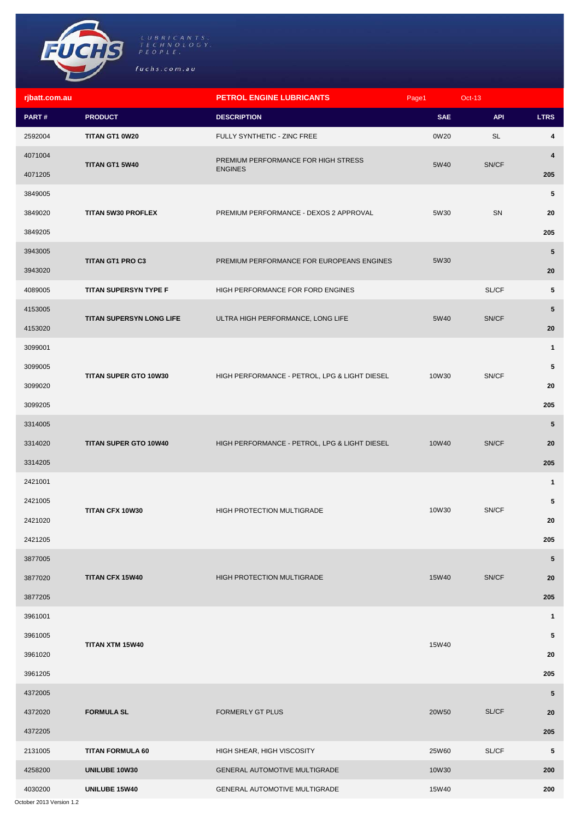

| rjbatt.com.au |                          | <b>PETROL ENGINE LUBRICANTS</b>               | Page1      | $Oct-13$   |                         |
|---------------|--------------------------|-----------------------------------------------|------------|------------|-------------------------|
| PART#         | <b>PRODUCT</b>           | <b>DESCRIPTION</b>                            | <b>SAE</b> | <b>API</b> | <b>LTRS</b>             |
| 2592004       | TITAN GT1 0W20           | FULLY SYNTHETIC - ZINC FREE                   | 0W20       | <b>SL</b>  | 4                       |
| 4071004       | TITAN GT1 5W40           | PREMIUM PERFORMANCE FOR HIGH STRESS           | 5W40       | SN/CF      | $\overline{\mathbf{4}}$ |
| 4071205       |                          | <b>ENGINES</b>                                |            |            | 205                     |
| 3849005       |                          |                                               |            |            | 5                       |
| 3849020       | TITAN 5W30 PROFLEX       | PREMIUM PERFORMANCE - DEXOS 2 APPROVAL        | 5W30       | SN         | 20                      |
| 3849205       |                          |                                               |            |            | 205                     |
| 3943005       | TITAN GT1 PRO C3         | PREMIUM PERFORMANCE FOR EUROPEANS ENGINES     | 5W30       |            | $5\phantom{.0}$         |
| 3943020       |                          |                                               |            |            | 20                      |
| 4089005       | TITAN SUPERSYN TYPE F    | HIGH PERFORMANCE FOR FORD ENGINES             |            | SL/CF      | 5                       |
| 4153005       | TITAN SUPERSYN LONG LIFE | ULTRA HIGH PERFORMANCE, LONG LIFE             | 5W40       | SN/CF      | $5\phantom{.0}$         |
| 4153020       |                          |                                               |            |            | 20                      |
| 3099001       |                          |                                               |            |            | $\mathbf{1}$            |
| 3099005       |                          | HIGH PERFORMANCE - PETROL, LPG & LIGHT DIESEL | 10W30      |            | 5                       |
| 3099020       | TITAN SUPER GTO 10W30    |                                               |            | SN/CF      | 20                      |
| 3099205       |                          |                                               |            |            | 205                     |
| 3314005       |                          |                                               |            |            | $5\phantom{.0}$         |
| 3314020       | TITAN SUPER GTO 10W40    | HIGH PERFORMANCE - PETROL, LPG & LIGHT DIESEL | 10W40      | SN/CF      | 20                      |
| 3314205       |                          |                                               |            |            | 205                     |
| 2421001       |                          |                                               | 10W30      |            | $\mathbf{1}$            |
| 2421005       |                          | <b>HIGH PROTECTION MULTIGRADE</b>             |            |            | 5                       |
| 2421020       | TITAN CFX 10W30          |                                               |            | SN/CF      | 20                      |
| 2421205       |                          |                                               |            |            | 205                     |
| 3877005       |                          |                                               |            |            | $5\phantom{.0}$         |
| 3877020       | TITAN CFX 15W40          | HIGH PROTECTION MULTIGRADE                    | 15W40      | SN/CF      | 20                      |
| 3877205       |                          |                                               |            |            | 205                     |
| 3961001       |                          |                                               |            |            | $\mathbf{1}$            |
| 3961005       |                          |                                               | 15W40      |            | 5                       |
| 3961020       | TITAN XTM 15W40          |                                               |            |            | 20                      |
| 3961205       |                          |                                               |            |            | 205                     |
| 4372005       |                          |                                               |            |            | 5                       |
| 4372020       | <b>FORMULA SL</b>        | <b>FORMERLY GT PLUS</b>                       | 20W50      | SL/CF      | 20                      |
| 4372205       |                          |                                               |            |            | 205                     |
| 2131005       | <b>TITAN FORMULA 60</b>  | HIGH SHEAR, HIGH VISCOSITY                    | 25W60      | SL/CF      | 5                       |
| 4258200       | UNILUBE 10W30            | GENERAL AUTOMOTIVE MULTIGRADE                 | 10W30      |            | 200                     |
| 4030200       | UNILUBE 15W40            | GENERAL AUTOMOTIVE MULTIGRADE                 | 15W40      |            | 200                     |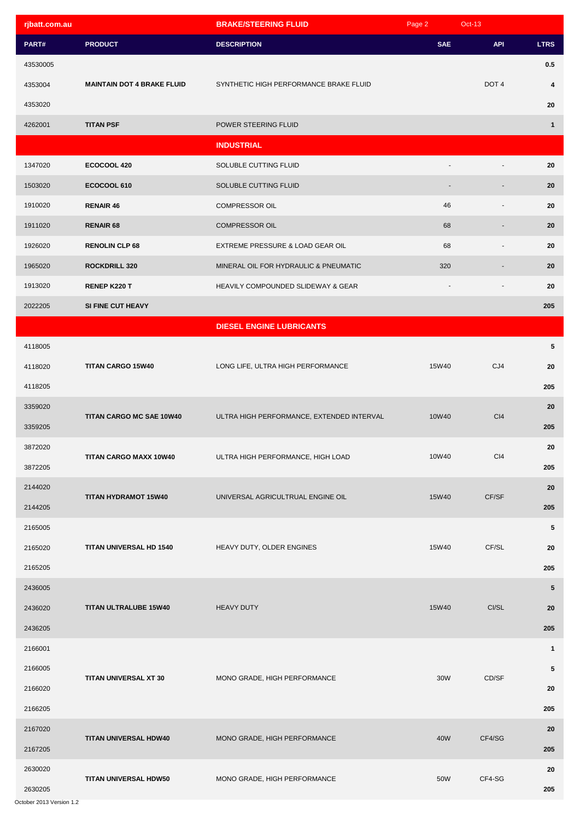| rjbatt.com.au |                                   | <b>BRAKE/STEERING FLUID</b>               | Page 2     | Oct-13                   |                         |
|---------------|-----------------------------------|-------------------------------------------|------------|--------------------------|-------------------------|
| PART#         | <b>PRODUCT</b>                    | <b>DESCRIPTION</b>                        | <b>SAE</b> | <b>API</b>               | <b>LTRS</b>             |
| 43530005      |                                   |                                           |            |                          | 0.5                     |
| 4353004       | <b>MAINTAIN DOT 4 BRAKE FLUID</b> | SYNTHETIC HIGH PERFORMANCE BRAKE FLUID    |            | DOT <sub>4</sub>         | $\overline{\mathbf{4}}$ |
| 4353020       |                                   |                                           |            |                          | 20                      |
| 4262001       | <b>TITAN PSF</b>                  | POWER STEERING FLUID                      |            |                          | $\mathbf{1}$            |
|               |                                   | <b>INDUSTRIAL</b>                         |            |                          |                         |
| 1347020       | ECOCOOL 420                       | SOLUBLE CUTTING FLUID                     |            |                          | 20                      |
| 1503020       | ECOCOOL 610                       | SOLUBLE CUTTING FLUID                     |            |                          | 20                      |
| 1910020       | <b>RENAIR 46</b>                  | COMPRESSOR OIL                            | 46         | $\overline{\phantom{a}}$ | 20                      |
| 1911020       | <b>RENAIR 68</b>                  | <b>COMPRESSOR OIL</b>                     | 68         | ٠                        | 20                      |
| 1926020       | <b>RENOLIN CLP 68</b>             | EXTREME PRESSURE & LOAD GEAR OIL          | 68         | $\overline{\phantom{a}}$ | 20                      |
| 1965020       | <b>ROCKDRILL 320</b>              | MINERAL OIL FOR HYDRAULIC & PNEUMATIC     | 320        |                          | 20                      |
| 1913020       | RENEP K220 T                      | HEAVILY COMPOUNDED SLIDEWAY & GEAR        |            | ÷,                       | 20                      |
| 2022205       | SI FINE CUT HEAVY                 |                                           |            |                          | 205                     |
|               |                                   | <b>DIESEL ENGINE LUBRICANTS</b>           |            |                          |                         |
| 4118005       |                                   |                                           |            |                          | 5                       |
| 4118020       | TITAN CARGO 15W40                 | LONG LIFE, ULTRA HIGH PERFORMANCE         | 15W40      | CJ4                      | 20                      |
| 4118205       |                                   |                                           |            |                          | 205                     |
| 3359020       |                                   |                                           |            |                          | 20                      |
| 3359205       | TITAN CARGO MC SAE 10W40          | ULTRA HIGH PERFORMANCE, EXTENDED INTERVAL | 10W40      | C <sub>14</sub>          | 205                     |
| 3872020       |                                   |                                           |            |                          | 20                      |
| 3872205       | TITAN CARGO MAXX 10W40            | ULTRA HIGH PERFORMANCE, HIGH LOAD         | 10W40      | C <sub>14</sub>          | 205                     |
| 2144020       |                                   |                                           |            |                          | 20                      |
| 2144205       | TITAN HYDRAMOT 15W40              | UNIVERSAL AGRICULTRUAL ENGINE OIL         | 15W40      | CF/SF                    | 205                     |
| 2165005       |                                   |                                           |            |                          | $\sqrt{5}$              |
| 2165020       | TITAN UNIVERSAL HD 1540           | HEAVY DUTY, OLDER ENGINES                 | 15W40      | CF/SL                    | 20                      |
| 2165205       |                                   |                                           |            |                          | 205                     |
| 2436005       |                                   |                                           |            |                          | 5                       |
| 2436020       | <b>TITAN ULTRALUBE 15W40</b>      | <b>HEAVY DUTY</b>                         | 15W40      | CI/SL                    | 20                      |
| 2436205       |                                   |                                           |            |                          | 205                     |
| 2166001       |                                   |                                           |            |                          | $\mathbf{1}$            |
| 2166005       |                                   |                                           |            |                          | $\sqrt{5}$              |
| 2166020       | TITAN UNIVERSAL XT 30             | MONO GRADE, HIGH PERFORMANCE              | 30W        | CD/SF                    | 20                      |
| 2166205       |                                   |                                           |            |                          | 205                     |
| 2167020       |                                   |                                           |            |                          | 20                      |
| 2167205       | TITAN UNIVERSAL HDW40             | MONO GRADE, HIGH PERFORMANCE              | 40W        | CF4/SG                   | 205                     |
| 2630020       |                                   |                                           |            |                          | 20                      |
| 2630205       | TITAN UNIVERSAL HDW50             | MONO GRADE, HIGH PERFORMANCE              | 50W        | CF4-SG                   | 205                     |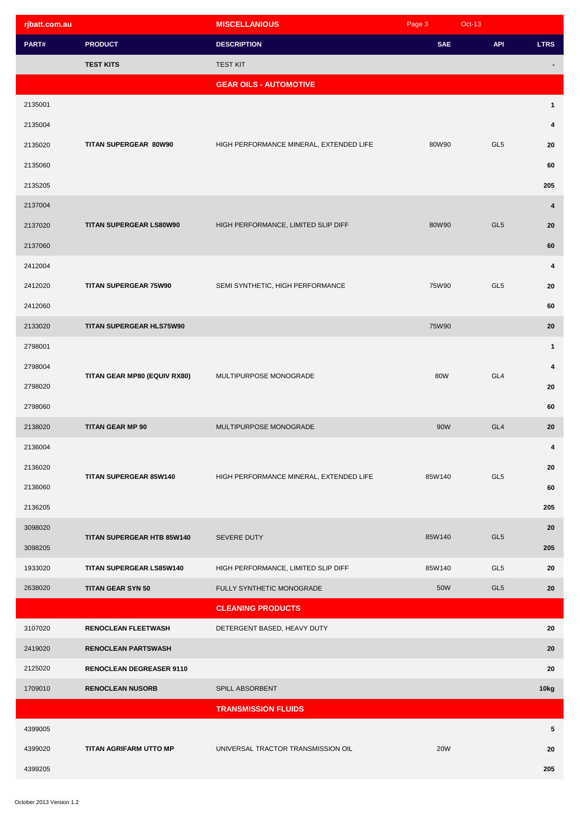| rjbatt.com.au |                                 | <b>MISCELLANIOUS</b>                    | Page 3     | $Oct-13$        |              |
|---------------|---------------------------------|-----------------------------------------|------------|-----------------|--------------|
| PART#         | <b>PRODUCT</b>                  | <b>DESCRIPTION</b>                      | <b>SAE</b> | <b>API</b>      | <b>LTRS</b>  |
|               | <b>TEST KITS</b>                | <b>TEST KIT</b>                         |            |                 |              |
|               |                                 | <b>GEAR OILS - AUTOMOTIVE</b>           |            |                 |              |
| 2135001       |                                 |                                         |            |                 | $\mathbf{1}$ |
| 2135004       |                                 |                                         |            |                 | 4            |
| 2135020       | TITAN SUPERGEAR 80W90           | HIGH PERFORMANCE MINERAL, EXTENDED LIFE | 80W90      | GL <sub>5</sub> | 20           |
| 2135060       |                                 |                                         |            |                 | 60           |
| 2135205       |                                 |                                         |            |                 | 205          |
| 2137004       |                                 |                                         |            |                 | 4            |
| 2137020       | TITAN SUPERGEAR LS80W90         | HIGH PERFORMANCE, LIMITED SLIP DIFF     | 80W90      | GL <sub>5</sub> | 20           |
| 2137060       |                                 |                                         |            |                 | 60           |
| 2412004       |                                 |                                         |            |                 | 4            |
| 2412020       | <b>TITAN SUPERGEAR 75W90</b>    | SEMI SYNTHETIC, HIGH PERFORMANCE        | 75W90      | GL <sub>5</sub> | 20           |
| 2412060       |                                 |                                         |            |                 | 60           |
| 2133020       | TITAN SUPERGEAR HLS75W90        |                                         | 75W90      |                 | 20           |
| 2798001       |                                 |                                         |            |                 | $\mathbf{1}$ |
| 2798004       |                                 | MULTIPURPOSE MONOGRADE                  | 80W        | GL4             | 4            |
| 2798020       | TITAN GEAR MP80 (EQUIV RX80)    |                                         |            |                 | 20           |
| 2798060       |                                 |                                         |            |                 | 60           |
| 2138020       | <b>TITAN GEAR MP 90</b>         | MULTIPURPOSE MONOGRADE                  | 90W        | GL <sub>4</sub> | 20           |
| 2136004       |                                 | HIGH PERFORMANCE MINERAL, EXTENDED LIFE | 85W140     |                 | 4            |
| 2136020       |                                 |                                         |            |                 | 20           |
| 2136060       | <b>TITAN SUPERGEAR 85W140</b>   |                                         |            | GL <sub>5</sub> | 60           |
| 2136205       |                                 |                                         |            |                 | 205          |
| 3098020       |                                 | SEVERE DUTY                             | 85W140     | GL <sub>5</sub> | 20           |
| 3098205       | TITAN SUPERGEAR HTB 85W140      |                                         |            |                 | 205          |
| 1933020       | TITAN SUPERGEAR LS85W140        | HIGH PERFORMANCE, LIMITED SLIP DIFF     | 85W140     | GL <sub>5</sub> | 20           |
| 2638020       | <b>TITAN GEAR SYN 50</b>        | FULLY SYNTHETIC MONOGRADE               | 50W        | GL <sub>5</sub> | 20           |
|               |                                 | <b>CLEANING PRODUCTS</b>                |            |                 |              |
| 3107020       | <b>RENOCLEAN FLEETWASH</b>      | DETERGENT BASED, HEAVY DUTY             |            |                 | 20           |
| 2419020       | <b>RENOCLEAN PARTSWASH</b>      |                                         |            |                 | 20           |
| 2125020       | <b>RENOCLEAN DEGREASER 9110</b> |                                         |            |                 | 20           |
| 1709010       | <b>RENOCLEAN NUSORB</b>         | SPILL ABSORBENT                         |            |                 | 10kg         |
|               |                                 | <b>TRANSMISSION FLUIDS</b>              |            |                 |              |
| 4399005       |                                 |                                         |            |                 | 5            |
| 4399020       | TITAN AGRIFARM UTTO MP          | UNIVERSAL TRACTOR TRANSMISSION OIL      | <b>20W</b> |                 | 20           |
| 4399205       |                                 |                                         |            |                 | 205          |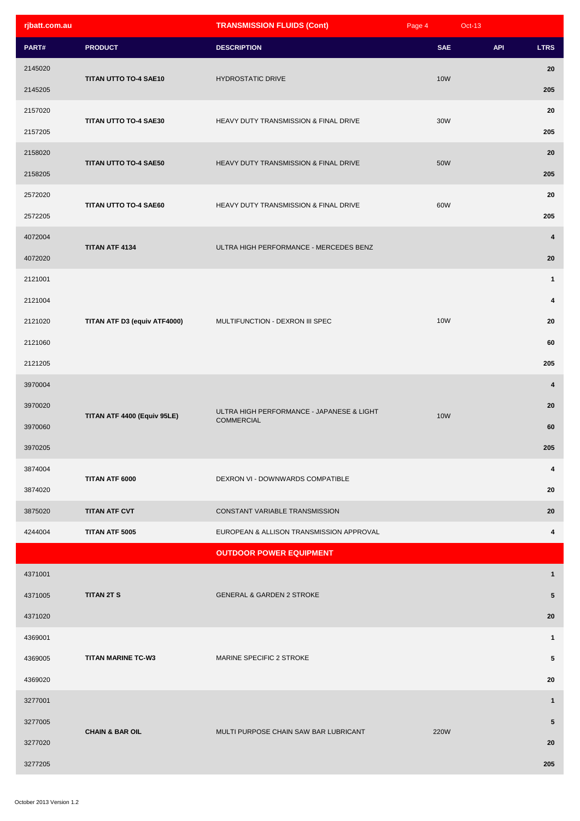| rjbatt.com.au |                              | <b>TRANSMISSION FLUIDS (Cont)</b>                              | Page 4      | $Oct-13$   |                         |
|---------------|------------------------------|----------------------------------------------------------------|-------------|------------|-------------------------|
| PART#         | <b>PRODUCT</b>               | <b>DESCRIPTION</b>                                             | <b>SAE</b>  | <b>API</b> | <b>LTRS</b>             |
| 2145020       |                              |                                                                |             |            | 20                      |
| 2145205       | TITAN UTTO TO-4 SAE10        | <b>HYDROSTATIC DRIVE</b>                                       | <b>10W</b>  |            | 205                     |
| 2157020       |                              | HEAVY DUTY TRANSMISSION & FINAL DRIVE                          | 30W         |            | 20                      |
| 2157205       | TITAN UTTO TO-4 SAE30        |                                                                |             |            | 205                     |
| 2158020       | TITAN UTTO TO-4 SAE50        |                                                                |             |            | 20                      |
| 2158205       |                              | HEAVY DUTY TRANSMISSION & FINAL DRIVE                          | 50W         |            | 205                     |
| 2572020       | TITAN UTTO TO-4 SAE60        | HEAVY DUTY TRANSMISSION & FINAL DRIVE                          |             |            | 20                      |
| 2572205       |                              |                                                                | 60W         |            | 205                     |
| 4072004       | TITAN ATF 4134               |                                                                |             |            | 4                       |
| 4072020       |                              | ULTRA HIGH PERFORMANCE - MERCEDES BENZ                         |             |            | 20                      |
| 2121001       |                              |                                                                |             |            | $\mathbf{1}$            |
| 2121004       |                              |                                                                |             |            | $\overline{\mathbf{4}}$ |
| 2121020       | TITAN ATF D3 (equiv ATF4000) | MULTIFUNCTION - DEXRON III SPEC                                | <b>10W</b>  |            | 20                      |
| 2121060       |                              |                                                                |             |            | 60                      |
| 2121205       |                              |                                                                |             |            | 205                     |
| 3970004       |                              |                                                                | <b>10W</b>  |            | $\overline{\mathbf{4}}$ |
| 3970020       |                              | ULTRA HIGH PERFORMANCE - JAPANESE & LIGHT<br><b>COMMERCIAL</b> |             |            | 20                      |
| 3970060       | TITAN ATF 4400 (Equiv 95LE)  |                                                                |             |            | 60                      |
| 3970205       |                              |                                                                |             |            | 205                     |
| 3874004       | TITAN ATF 6000               | DEXRON VI - DOWNWARDS COMPATIBLE                               |             |            | 4                       |
| 3874020       |                              |                                                                |             |            | 20                      |
| 3875020       | <b>TITAN ATF CVT</b>         | CONSTANT VARIABLE TRANSMISSION                                 |             |            | 20                      |
| 4244004       | TITAN ATF 5005               | EUROPEAN & ALLISON TRANSMISSION APPROVAL                       |             |            | 4                       |
|               |                              | <b>OUTDOOR POWER EQUIPMENT</b>                                 |             |            |                         |
| 4371001       |                              |                                                                |             |            | $\mathbf{1}$            |
| 4371005       | <b>TITAN 2T S</b>            | <b>GENERAL &amp; GARDEN 2 STROKE</b>                           |             |            | $5\phantom{.0}$         |
| 4371020       |                              |                                                                |             |            | 20                      |
| 4369001       |                              |                                                                |             |            | $\mathbf{1}$            |
| 4369005       | <b>TITAN MARINE TC-W3</b>    | MARINE SPECIFIC 2 STROKE                                       |             |            | 5                       |
| 4369020       |                              |                                                                |             |            | 20                      |
| 3277001       |                              |                                                                | <b>220W</b> |            | $\mathbf{1}$            |
| 3277005       |                              |                                                                |             |            | $5\phantom{.0}$         |
| 3277020       | <b>CHAIN &amp; BAR OIL</b>   | MULTI PURPOSE CHAIN SAW BAR LUBRICANT                          |             |            | 20                      |
| 3277205       |                              |                                                                |             |            | 205                     |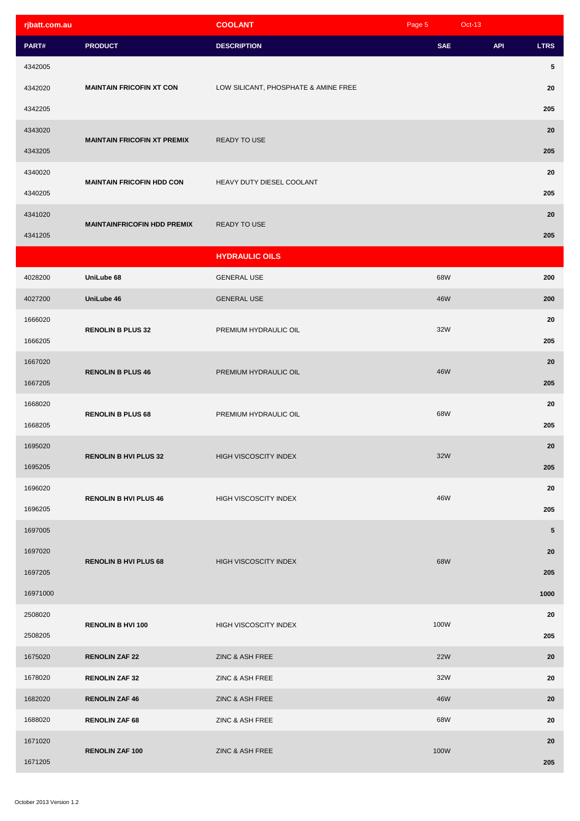| rjbatt.com.au |                                    | <b>COOLANT</b>                       | Page 5     | <b>Oct-13</b> |             |
|---------------|------------------------------------|--------------------------------------|------------|---------------|-------------|
| PART#         | <b>PRODUCT</b>                     | <b>DESCRIPTION</b>                   | <b>SAE</b> | <b>API</b>    | <b>LTRS</b> |
| 4342005       |                                    |                                      |            |               | 5           |
| 4342020       | <b>MAINTAIN FRICOFIN XT CON</b>    | LOW SILICANT, PHOSPHATE & AMINE FREE |            |               | 20          |
| 4342205       |                                    |                                      |            |               | 205         |
| 4343020       |                                    |                                      |            |               | 20          |
| 4343205       | <b>MAINTAIN FRICOFIN XT PREMIX</b> | READY TO USE                         |            |               | 205         |
| 4340020       |                                    |                                      |            |               | 20          |
| 4340205       | <b>MAINTAIN FRICOFIN HDD CON</b>   | HEAVY DUTY DIESEL COOLANT            |            |               | 205         |
| 4341020       |                                    |                                      |            |               | 20          |
| 4341205       | <b>MAINTAINFRICOFIN HDD PREMIX</b> | READY TO USE                         |            |               | 205         |
|               |                                    | <b>HYDRAULIC OILS</b>                |            |               |             |
| 4028200       | UniLube 68                         | <b>GENERAL USE</b>                   | 68W        |               | 200         |
| 4027200       | UniLube 46                         | <b>GENERAL USE</b>                   | 46W        |               | 200         |
| 1666020       |                                    |                                      |            |               | 20          |
| 1666205       | <b>RENOLIN B PLUS 32</b>           | PREMIUM HYDRAULIC OIL                | 32W        |               | 205         |
| 1667020       |                                    | PREMIUM HYDRAULIC OIL                | 46W        |               | 20          |
| 1667205       | <b>RENOLIN B PLUS 46</b>           |                                      |            |               | 205         |
| 1668020       |                                    | PREMIUM HYDRAULIC OIL                |            |               | 20          |
| 1668205       | <b>RENOLIN B PLUS 68</b>           |                                      | 68W        |               | 205         |
| 1695020       |                                    | HIGH VISCOSCITY INDEX                | 32W        |               | 20          |
| 1695205       | <b>RENOLIN B HVI PLUS 32</b>       |                                      |            |               | 205         |
| 1696020       |                                    |                                      | 46W        |               | 20          |
| 1696205       | <b>RENOLIN B HVI PLUS 46</b>       | HIGH VISCOSCITY INDEX                |            |               | 205         |
| 1697005       |                                    |                                      |            |               | 5           |
| 1697020       | <b>RENOLIN B HVI PLUS 68</b>       |                                      |            |               | 20          |
| 1697205       |                                    | <b>HIGH VISCOSCITY INDEX</b>         | 68W        |               | 205         |
| 16971000      |                                    |                                      |            |               | 1000        |
| 2508020       |                                    |                                      |            |               | 20          |
| 2508205       | <b>RENOLIN B HVI 100</b>           | <b>HIGH VISCOSCITY INDEX</b>         | 100W       |               | 205         |
| 1675020       | <b>RENOLIN ZAF 22</b>              | ZINC & ASH FREE                      | <b>22W</b> |               | 20          |
| 1678020       | <b>RENOLIN ZAF 32</b>              | ZINC & ASH FREE                      | 32W        |               | 20          |
| 1682020       | <b>RENOLIN ZAF 46</b>              | ZINC & ASH FREE                      | 46W        |               | 20          |
| 1688020       | <b>RENOLIN ZAF 68</b>              | ZINC & ASH FREE                      | 68W        |               | 20          |
| 1671020       |                                    |                                      |            |               | 20          |
| 1671205       | <b>RENOLIN ZAF 100</b>             | ZINC & ASH FREE                      | 100W       |               | 205         |